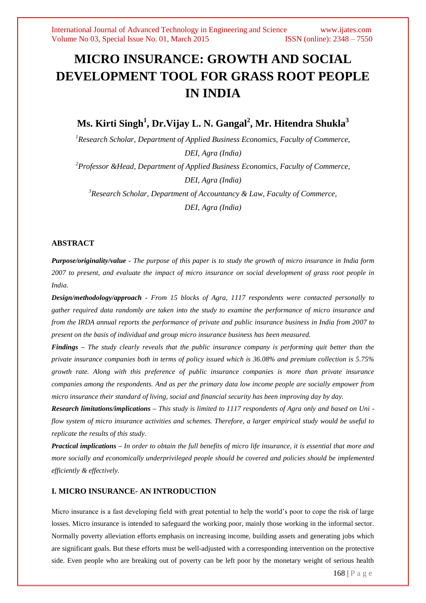# **MICRO INSURANCE: GROWTH AND SOCIAL DEVELOPMENT TOOL FOR GRASS ROOT PEOPLE IN INDIA**

# **Ms. Kirti Singh<sup>1</sup> , Dr.Vijay L. N. Gangal<sup>2</sup> , Mr. Hitendra Shukla<sup>3</sup>**

*<sup>1</sup>Research Scholar, Department of Applied Business Economics, Faculty of Commerce, DEI, Agra (India)*

*<sup>2</sup>[Professor &Head,](mailto:%202Professor%20&Head) Department of Applied Business Economics, Faculty of Commerce, DEI, Agra (India)*

*<sup>3</sup>Research Scholar, Department of Accountancy & Law, Faculty of Commerce, DEI, Agra (India)*

#### **ABSTRACT**

*Purpose/originality/value - The purpose of this paper is to study the growth of micro insurance in India form 2007 to present, and evaluate the impact of micro insurance on social development of grass root people in India.* 

*Design/methodology/approach - From 15 blocks of Agra, 1117 respondents were contacted personally to gather required data randomly are taken into the study to examine the performance of micro insurance and from the IRDA annual reports the performance of private and public insurance business in India from 2007 to present on the basis of individual and group micro insurance business has been measured.*

*Findings – The study clearly reveals that the public insurance company is performing quit better than the private insurance companies both in terms of policy issued which is 36.08% and premium collection is 5.75% growth rate. Along with this preference of public insurance companies is more than private insurance companies among the respondents. And as per the primary data low income people are socially empower from micro insurance their standard of living, social and financial security has been improving day by day.* 

*Research limitations/implications – This study is limited to 1117 respondents of Agra only and based on Uni flow system of micro insurance activities and schemes. Therefore, a larger empirical study would be useful to replicate the results of this study.*

*Practical implications – In order to obtain the full benefits of micro life insurance, it is essential that more and more socially and economically underprivileged people should be covered and policies should be implemented efficiently & effectively.*

# **I. MICRO INSURANCE- AN INTRODUCTION**

Micro insurance is a fast developing field with great potential to help the world's poor to cope the risk of large losses. Micro insurance is intended to safeguard the working poor, mainly those working in the informal sector. Normally poverty alleviation efforts emphasis on increasing income, building assets and generating jobs which are significant goals. But these efforts must be well-adjusted with a corresponding intervention on the protective side. Even people who are breaking out of poverty can be left poor by the monetary weight of serious health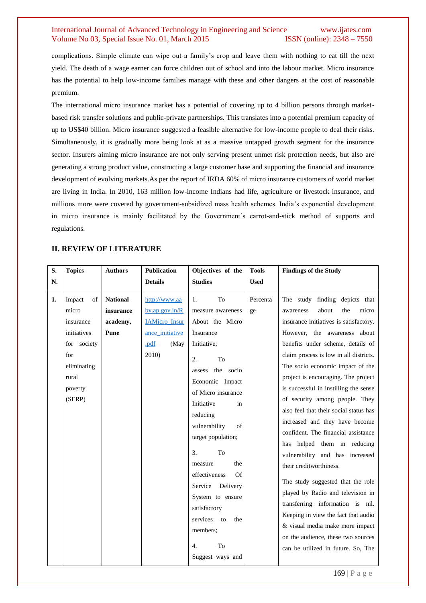complications. Simple climate can wipe out a family's crop and leave them with nothing to eat till the next yield. The death of a wage earner can force children out of school and into the labour market. Micro insurance has the potential to help low-income families manage with these and other dangers at the cost of reasonable premium.

The international micro insurance market has a potential of covering up to 4 billion persons through marketbased risk transfer solutions and public-private partnerships. This translates into a potential premium capacity of up to US\$40 billion. Micro insurance suggested a feasible alternative for low-income people to deal their risks. Simultaneously, it is gradually more being look at as a massive untapped growth segment for the insurance sector. Insurers aiming micro insurance are not only serving present unmet risk protection needs, but also are generating a strong product value, constructing a large customer base and supporting the financial and insurance development of evolving markets.As per the report of IRDA 60% of micro insurance customers of world market are living in India. In 2010, 163 million low-income Indians had life, agriculture or livestock insurance, and millions more were covered by government-subsidized mass health schemes. India's exponential development in micro insurance is mainly facilitated by the Government's carrot-and-stick method of supports and regulations.

# **II. REVIEW OF LITERATURE**

| S. | <b>Topics</b>                                                                                                        | <b>Authors</b>                                   | <b>Publication</b>                                                                                        | Objectives of the                                                                                                                                                                                                                                                                                                                                                                                                                        | <b>Tools</b>   | <b>Findings of the Study</b>                                                                                                                                                                                                                                                                                                                                                                                                                                                                                                                                                                                                                                                                                                                                                                                                                                            |
|----|----------------------------------------------------------------------------------------------------------------------|--------------------------------------------------|-----------------------------------------------------------------------------------------------------------|------------------------------------------------------------------------------------------------------------------------------------------------------------------------------------------------------------------------------------------------------------------------------------------------------------------------------------------------------------------------------------------------------------------------------------------|----------------|-------------------------------------------------------------------------------------------------------------------------------------------------------------------------------------------------------------------------------------------------------------------------------------------------------------------------------------------------------------------------------------------------------------------------------------------------------------------------------------------------------------------------------------------------------------------------------------------------------------------------------------------------------------------------------------------------------------------------------------------------------------------------------------------------------------------------------------------------------------------------|
| N. |                                                                                                                      |                                                  | <b>Details</b>                                                                                            | <b>Studies</b>                                                                                                                                                                                                                                                                                                                                                                                                                           | <b>Used</b>    |                                                                                                                                                                                                                                                                                                                                                                                                                                                                                                                                                                                                                                                                                                                                                                                                                                                                         |
| 1. | Impact<br>of<br>micro<br>insurance<br>initiatives<br>for society<br>for<br>eliminating<br>rural<br>poverty<br>(SERP) | <b>National</b><br>insurance<br>academy,<br>Pune | http://www.aa<br>$by$ .ap.gov.in/ $R$<br><b>IAMicro</b> Insur<br>ance_initiative<br>.pdf<br>(May<br>2010) | To<br>1.<br>measure awareness<br>About the Micro<br>Insurance<br>Initiative;<br>To<br>2.<br>the socio<br>assess<br>Economic Impact<br>of Micro insurance<br>Initiative<br>in<br>reducing<br>of<br>vulnerability<br>target population;<br>3.<br>To<br>the<br>measure<br>effectiveness<br>Of<br>Service<br>Delivery<br>System to ensure<br>satisfactory<br>services<br>the<br>to<br>members;<br>To<br>$\overline{4}$ .<br>Suggest ways and | Percenta<br>ge | The study finding depicts that<br>about<br>the<br>micro<br>awareness<br>insurance initiatives is satisfactory.<br>However, the awareness about<br>benefits under scheme, details of<br>claim process is low in all districts.<br>The socio economic impact of the<br>project is encouraging. The project<br>is successful in instilling the sense<br>of security among people. They<br>also feel that their social status has<br>increased and they have become<br>confident. The financial assistance<br>has helped them in reducing<br>vulnerability and has increased<br>their creditworthiness.<br>The study suggested that the role<br>played by Radio and television in<br>transferring information is nil.<br>Keeping in view the fact that audio<br>& visual media make more impact<br>on the audience, these two sources<br>can be utilized in future. So, The |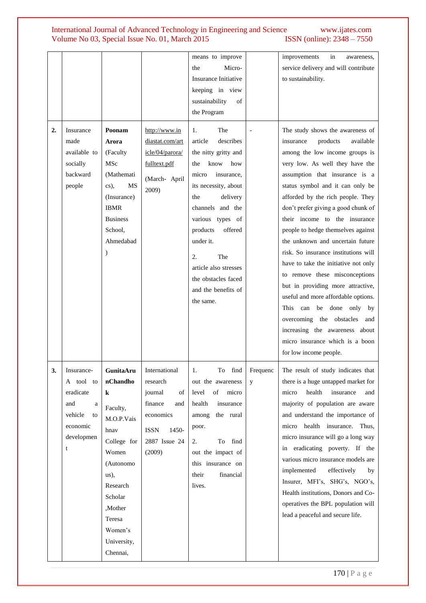|    |                                                                                                  |                                                                                                                                                                                                      |                                                                                                                              | means to improve<br>Micro-<br>the<br><b>Insurance Initiative</b><br>keeping in view<br>sustainability<br>of<br>the Program                                                                                                                                                                                                     |               | improvements<br>in<br>awareness,<br>service delivery and will contribute<br>to sustainability.                                                                                                                                                                                                                                                                                                                                                                                                                                                                                                                                                                                                                                                                          |
|----|--------------------------------------------------------------------------------------------------|------------------------------------------------------------------------------------------------------------------------------------------------------------------------------------------------------|------------------------------------------------------------------------------------------------------------------------------|--------------------------------------------------------------------------------------------------------------------------------------------------------------------------------------------------------------------------------------------------------------------------------------------------------------------------------|---------------|-------------------------------------------------------------------------------------------------------------------------------------------------------------------------------------------------------------------------------------------------------------------------------------------------------------------------------------------------------------------------------------------------------------------------------------------------------------------------------------------------------------------------------------------------------------------------------------------------------------------------------------------------------------------------------------------------------------------------------------------------------------------------|
| 2. | Insurance<br>made<br>available to<br>socially<br>backward<br>people                              | Poonam<br>Arora<br>(Faculty<br>MSc<br>(Mathemati<br>MS<br>$\text{cs}$ ),<br>(Insurance)<br><b>IBMR</b><br><b>Business</b><br>School,<br>Ahmedabad<br>$\lambda$                                       | http://www.in<br>diastat.com/art<br>icle/04/parora/<br>fulltext.pdf<br>(March- April<br>2009)                                | The<br>1.<br>describes<br>article<br>the nitty gritty and<br>how<br>the<br>know<br>micro<br>insurance,<br>its necessity, about<br>delivery<br>the<br>channels and the<br>various types of<br>products<br>offered<br>under it.<br>2.<br>The<br>article also stresses<br>the obstacles faced<br>and the benefits of<br>the same. |               | The study shows the awareness of<br>insurance<br>products<br>available<br>among the low income groups is<br>very low. As well they have the<br>assumption that insurance is a<br>status symbol and it can only be<br>afforded by the rich people. They<br>don't prefer giving a good chunk of<br>their income to the insurance<br>people to hedge themselves against<br>the unknown and uncertain future<br>risk. So insurance institutions will<br>have to take the initiative not only<br>to remove these misconceptions<br>but in providing more attractive,<br>useful and more affordable options.<br>can be done only by<br>This<br>overcoming the obstacles<br>and<br>increasing the awareness about<br>micro insurance which is a boon<br>for low income people. |
| 3. | Insurance-<br>A tool to<br>eradicate<br>and<br>a<br>vehicle<br>to<br>economic<br>developmen<br>t | GunitaAru<br>nChandho<br>k<br>Faculty,<br>M.O.P.Vais<br>hnav<br>College for<br>Women<br>(Autonomo<br>$\alpha(s)$ ,<br>Research<br>Scholar<br>,Mother<br>Teresa<br>Women's<br>University,<br>Chennai, | International<br>research<br>journal<br>of<br>finance<br>and<br>economics<br><b>ISSN</b><br>1450-<br>2887 Issue 24<br>(2009) | find<br>1.<br>To<br>out the awareness<br>level<br>of<br>micro<br>health<br>insurance<br>among<br>the rural<br>poor.<br>find<br>2.<br>To<br>out the impact of<br>this insurance on<br>financial<br>their<br>lives.                                                                                                              | Frequenc<br>У | The result of study indicates that<br>there is a huge untapped market for<br>health<br>micro<br>insurance<br>and<br>majority of population are aware<br>and understand the importance of<br>micro health insurance.<br>Thus,<br>micro insurance will go a long way<br>in eradicating poverty. If the<br>various micro insurance models are<br>implemented<br>effectively<br>by<br>Insurer, MFI's, SHG's, NGO's,<br>Health institutions, Donors and Co-<br>operatives the BPL population will<br>lead a peaceful and secure life.                                                                                                                                                                                                                                        |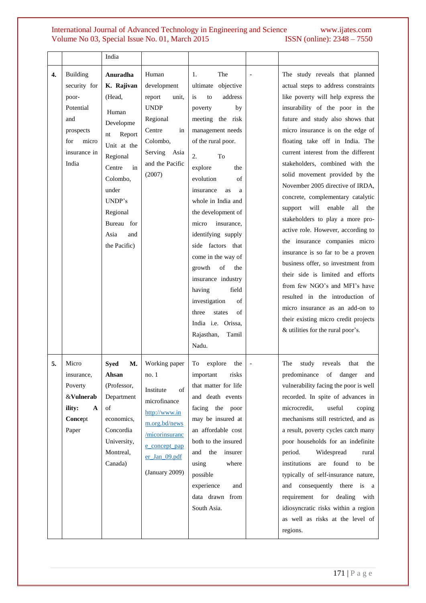|                  |                                                                                                             | India                                                                                                                                                                                                     |                                                                                                                                                                  |                                                                                                                                                                                                                                                                                                                                                                                                                                                                                                                          |                                                                                                                                                                                                                                                                                                                                                                                                                                                                                                                                                                                                                                                                                                                                                                                                                                                                                                            |
|------------------|-------------------------------------------------------------------------------------------------------------|-----------------------------------------------------------------------------------------------------------------------------------------------------------------------------------------------------------|------------------------------------------------------------------------------------------------------------------------------------------------------------------|--------------------------------------------------------------------------------------------------------------------------------------------------------------------------------------------------------------------------------------------------------------------------------------------------------------------------------------------------------------------------------------------------------------------------------------------------------------------------------------------------------------------------|------------------------------------------------------------------------------------------------------------------------------------------------------------------------------------------------------------------------------------------------------------------------------------------------------------------------------------------------------------------------------------------------------------------------------------------------------------------------------------------------------------------------------------------------------------------------------------------------------------------------------------------------------------------------------------------------------------------------------------------------------------------------------------------------------------------------------------------------------------------------------------------------------------|
| $\overline{4}$ . | Building<br>security for<br>poor-<br>Potential<br>and<br>prospects<br>micro<br>for<br>insurance in<br>India | Anuradha<br>K. Rajivan<br>(Head,<br>Human<br>Developme<br>Report<br>nt<br>Unit at the<br>Regional<br>in<br>Centre<br>Colombo,<br>under<br>UNDP's<br>Regional<br>Bureau for<br>Asia<br>and<br>the Pacific) | Human<br>development<br>report<br>unit,<br><b>UNDP</b><br>Regional<br>Centre<br>in<br>Colombo,<br>Serving Asia<br>and the Pacific<br>(2007)                      | The<br>1.<br>ultimate objective<br>address<br>is<br>to<br>poverty<br>by<br>meeting the risk<br>management needs<br>of the rural poor.<br>2.<br>To<br>explore<br>the<br>evolution<br>of<br>insurance<br>as<br>a<br>whole in India and<br>the development of<br>insurance.<br>micro<br>identifying supply<br>side factors that<br>come in the way of<br>growth<br>of<br>the<br>insurance industry<br>having<br>field<br>investigation<br>of<br>of<br>three<br>states<br>India i.e. Orissa,<br>Rajasthan,<br>Tamil<br>Nadu. | The study reveals that planned<br>actual steps to address constraints<br>like poverty will help express the<br>insurability of the poor in the<br>future and study also shows that<br>micro insurance is on the edge of<br>floating take off in India. The<br>current interest from the different<br>stakeholders, combined with the<br>solid movement provided by the<br>November 2005 directive of IRDA,<br>concrete, complementary catalytic<br>will<br>enable<br>support<br>all<br>the<br>stakeholders to play a more pro-<br>active role. However, according to<br>the insurance companies micro<br>insurance is so far to be a proven<br>business offer, so investment from<br>their side is limited and efforts<br>from few NGO's and MFI's have<br>resulted in the introduction of<br>micro insurance as an add-on to<br>their existing micro credit projects<br>& utilities for the rural poor's. |
| 5.               | Micro<br>insurance,<br>Poverty<br>&Vulnerab<br>ility:<br>A<br>Concept<br>Paper                              | M.<br>Syed<br>Ansan<br>(Professor,<br>Department<br>of<br>economics,<br>Concordia<br>University,<br>Montreal,<br>Canada)                                                                                  | Working paper<br>no.1<br>Institute<br>of<br>microfinance<br>http://www.in<br>m.org.bd/news<br>/micorinsuranc<br>e concept pap<br>er_Jan_09.pdf<br>(January 2009) | To<br>explore<br>the<br>$\!$ important<br>risks<br>that matter for life<br>and death events<br>facing the poor<br>may be insured at<br>an affordable cost<br>both to the insured<br>and<br>the<br>insurer<br>using<br>where<br>possible<br>experience<br>and<br>data drawn from<br>South Asia.                                                                                                                                                                                                                           | The<br>study<br>reveals<br>that<br>the<br>predominance of danger and<br>vulnerability facing the poor is well<br>recorded. In spite of advances in<br>microcredit,<br>useful<br>coping<br>mechanisms still restricted, and as<br>a result, poverty cycles catch many<br>poor households for an indefinite<br>Widespread<br>period.<br>rural<br>institutions<br>are found<br>to<br>be<br>typically of self-insurance nature,<br>and consequently there is a<br>requirement for dealing<br>with<br>idiosyncratic risks within a region<br>as well as risks at the level of<br>regions.                                                                                                                                                                                                                                                                                                                       |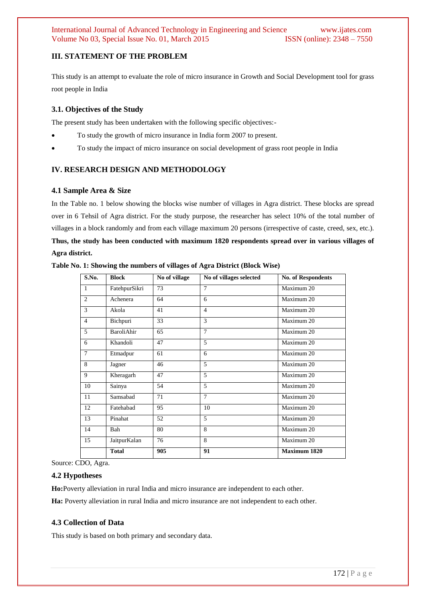# **III. STATEMENT OF THE PROBLEM**

This study is an attempt to evaluate the role of micro insurance in Growth and Social Development tool for grass root people in India

# **3.1. Objectives of the Study**

The present study has been undertaken with the following specific objectives:-

- To study the growth of micro insurance in India form 2007 to present.
- To study the impact of micro insurance on social development of grass root people in India

# **IV. RESEARCH DESIGN AND METHODOLOGY**

#### **4.1 Sample Area & Size**

In the Table no. 1 below showing the blocks wise number of villages in Agra district. These blocks are spread over in 6 Tehsil of Agra district. For the study purpose, the researcher has select 10% of the total number of villages in a block randomly and from each village maximum 20 persons (irrespective of caste, creed, sex, etc.). **Thus, the study has been conducted with maximum 1820 respondents spread over in various villages of Agra district.**

| S.No.          | <b>Block</b>      | No of village | No of villages selected | <b>No. of Respondents</b> |
|----------------|-------------------|---------------|-------------------------|---------------------------|
| $\mathbf{1}$   | FatehpurSikri     | 73            | 7                       | Maximum 20                |
| $\overline{2}$ | Achenera          | 64            | 6                       | Maximum 20                |
| 3              | Akola             | 41            | $\overline{4}$          | Maximum 20                |
| $\overline{4}$ | Bichpuri          | 33            | 3                       | Maximum 20                |
| 5              | <b>BaroliAhir</b> | 65            | $\overline{7}$          | Maximum 20                |
| 6              | Khandoli          | 47            | 5                       | Maximum 20                |
| $\overline{7}$ | Etmadpur          | 61            | 6                       | Maximum 20                |
| 8              | Jagner            | 46            | 5                       | Maximum 20                |
| 9              | Kheragarh         | 47            | 5                       | Maximum 20                |
| 10             | Sainya            | 54            | 5                       | Maximum 20                |
| 11             | Samsabad          | 71            | $\overline{7}$          | Maximum 20                |
| 12             | Fatehabad         | 95            | 10                      | Maximum 20                |
| 13             | Pinahat           | 52            | 5                       | Maximum 20                |
| 14             | Bah               | 80            | 8                       | Maximum 20                |
| 15             | JaitpurKalan      | 76            | 8                       | Maximum 20                |
|                | <b>Total</b>      | 905           | 91                      | <b>Maximum 1820</b>       |

**Table No. 1: Showing the numbers of villages of Agra District (Block Wise)**

Source: CDO, Agra.

#### **4.2 Hypotheses**

**Ho:**Poverty alleviation in rural India and micro insurance are independent to each other.

**Ha:** Poverty alleviation in rural India and micro insurance are not independent to each other.

#### **4.3 Collection of Data**

This study is based on both primary and secondary data.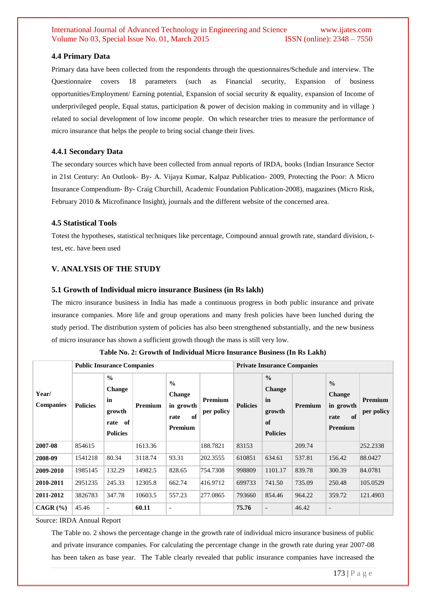#### **4.4 Primary Data**

Primary data have been collected from the respondents through the questionnaires/Schedule and interview. The Questionnaire covers 18 parameters (such as Financial security, Expansion of business opportunities/Employment/ Earning potential, Expansion of social security & equality, expansion of Income of underprivileged people, Equal status, participation & power of decision making in community and in village ) related to social development of low income people. On which researcher tries to measure the performance of micro insurance that helps the people to bring social change their lives.

#### **4.4.1 Secondary Data**

The secondary sources which have been collected from annual reports of IRDA, books (Indian Insurance Sector in 21st Century: An Outlook- By- A. Vijaya Kumar, Kalpaz Publication- 2009, Protecting the Poor: A Micro Insurance Compendium- By- Craig Churchill, Academic Foundation Publication-2008), magazines (Micro Risk, February 2010 & Microfinance Insight), journals and the different website of the concerned area.

#### **4.5 Statistical Tools**

Totest the hypotheses, statistical techniques like percentage, Compound annual growth rate, standard division, ttest, etc. have been used

# **V. ANALYSIS OF THE STUDY**

#### **5.1 Growth of Individual micro insurance Business (in Rs lakh)**

The micro insurance business in India has made a continuous progress in both public insurance and private insurance companies. More life and group operations and many fresh policies have been lunched during the study period. The distribution system of policies has also been strengthened substantially, and the new business of micro insurance has shown a sufficient growth though the mass is still very low.

|                           | <b>Public Insurance Companies</b> |                                                                                 |         |                                                                      |                       | <b>Private Insurance Companies</b> |                                                                         |                |                                                                      |                              |  |
|---------------------------|-----------------------------------|---------------------------------------------------------------------------------|---------|----------------------------------------------------------------------|-----------------------|------------------------------------|-------------------------------------------------------------------------|----------------|----------------------------------------------------------------------|------------------------------|--|
| Year/<br><b>Companies</b> | <b>Policies</b>                   | $\frac{0}{0}$<br><b>Change</b><br>in<br>growth<br>of<br>rate<br><b>Policies</b> | Premium | $\frac{0}{0}$<br><b>Change</b><br>in growth<br>of<br>rate<br>Premium | Premium<br>per policy | <b>Policies</b>                    | $\frac{0}{0}$<br><b>Change</b><br>in<br>growth<br>of<br><b>Policies</b> | <b>Premium</b> | $\frac{0}{0}$<br><b>Change</b><br>in growth<br>of<br>rate<br>Premium | <b>Premium</b><br>per policy |  |
| 2007-08                   | 854615                            |                                                                                 | 1613.36 |                                                                      | 188.7821              | 83153                              |                                                                         | 209.74         |                                                                      | 252.2338                     |  |
| 2008-09                   | 1541218                           | 80.34                                                                           | 3118.74 | 93.31                                                                | 202.3555              | 610851                             | 634.61                                                                  | 537.81         | 156.42                                                               | 88.0427                      |  |
| 2009-2010                 | 1985145                           | 132.29                                                                          | 14982.5 | 828.65                                                               | 754.7308              | 998809                             | 1101.17                                                                 | 839.78         | 300.39                                                               | 84.0781                      |  |
| 2010-2011                 | 2951235                           | 245.33                                                                          | 12305.8 | 662.74                                                               | 416.9712              | 699733                             | 741.50                                                                  | 735.09         | 250.48                                                               | 105.0529                     |  |
| 2011-2012                 | 3826783                           | 347.78                                                                          | 10603.5 | 557.23                                                               | 277.0865              | 793660                             | 854.46                                                                  | 964.22         | 359.72                                                               | 121.4903                     |  |
| $CAGR$ (%)                | 45.46                             |                                                                                 | 60.11   | $\blacksquare$                                                       |                       | 75.76                              | $\overline{a}$                                                          | 46.42          | $\overline{\phantom{a}}$                                             |                              |  |

**Table No. 2: Growth of Individual Micro Insurance Business (In Rs Lakh)**

Source: IRDA Annual Report

The Table no. 2 shows the percentage change in the growth rate of individual micro insurance business of public and private insurance companies. For calculating the percentage change in the growth rate during year 2007-08 has been taken as base year. The Table clearly revealed that public insurance companies have increased the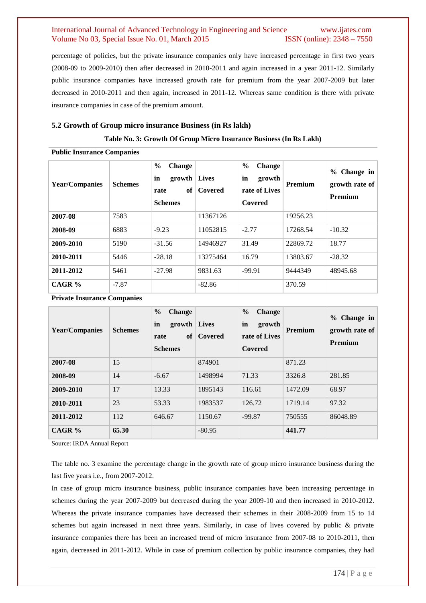percentage of policies, but the private insurance companies only have increased percentage in first two years (2008-09 to 2009-2010) then after decreased in 2010-2011 and again increased in a year 2011-12. Similarly public insurance companies have increased growth rate for premium from the year 2007-2009 but later decreased in 2010-2011 and then again, increased in 2011-12. Whereas same condition is there with private insurance companies in case of the premium amount.

#### **5.2 Growth of Group micro insurance Business (in Rs lakh)**

#### **Table No. 3: Growth Of Group Micro Insurance Business (In Rs Lakh)**

#### **Public Insurance Companies**

| <b>Year/Companies</b> | <b>Schemes</b> | $\frac{6}{9}$<br><b>Change</b><br>in<br>$growth$ Lives<br>of<br>rate<br><b>Schemes</b> | Covered  | $\frac{6}{9}$<br><b>Change</b><br>in<br>growth<br><b>Premium</b><br>rate of Lives<br>Covered |          | Change in<br>$\%$<br>growth rate of<br><b>Premium</b> |
|-----------------------|----------------|----------------------------------------------------------------------------------------|----------|----------------------------------------------------------------------------------------------|----------|-------------------------------------------------------|
| 2007-08               | 7583           |                                                                                        | 11367126 |                                                                                              | 19256.23 |                                                       |
| 2008-09               | 6883           | $-9.23$                                                                                | 11052815 | $-2.77$                                                                                      | 17268.54 | $-10.32$                                              |
| 2009-2010             | 5190           | $-31.56$                                                                               | 14946927 | 31.49                                                                                        | 22869.72 | 18.77                                                 |
| 2010-2011             | 5446           | $-28.18$                                                                               | 13275464 | 16.79                                                                                        | 13803.67 | $-28.32$                                              |
| 2011-2012             | 5461           | $-27.98$                                                                               | 9831.63  | $-99.91$                                                                                     | 9444349  | 48945.68                                              |
| CAGR%                 | $-7.87$        |                                                                                        | $-82.86$ |                                                                                              | 370.59   |                                                       |

**Private Insurance Companies**

| <b>Year/Companies</b> | <b>Schemes</b> | $\frac{6}{9}$<br><b>Change</b><br>in<br>growth   Lives<br>of<br>rate<br><b>Schemes</b> | Covered  | $\frac{6}{9}$<br><b>Change</b><br>in<br>growth<br>rate of Lives<br>Covered | Premium | $%$ Change in<br>growth rate of<br><b>Premium</b> |
|-----------------------|----------------|----------------------------------------------------------------------------------------|----------|----------------------------------------------------------------------------|---------|---------------------------------------------------|
| 2007-08               | 15             |                                                                                        | 874901   |                                                                            | 871.23  |                                                   |
| 2008-09               | 14             | $-6.67$                                                                                | 1498994  | 71.33                                                                      | 3326.8  | 281.85                                            |
| 2009-2010             | 17             | 13.33                                                                                  | 1895143  | 116.61                                                                     | 1472.09 | 68.97                                             |
| 2010-2011             | 23             | 53.33                                                                                  | 1983537  | 126.72                                                                     | 1719.14 | 97.32                                             |
| 2011-2012             | 112            | 646.67                                                                                 | 1150.67  | $-99.87$                                                                   | 750555  | 86048.89                                          |
| CAGR $%$              | 65.30          |                                                                                        | $-80.95$ |                                                                            | 441.77  |                                                   |

Source: IRDA Annual Report

The table no. 3 examine the percentage change in the growth rate of group micro insurance business during the last five years i.e., from 2007-2012.

In case of group micro insurance business, public insurance companies have been increasing percentage in schemes during the year 2007-2009 but decreased during the year 2009-10 and then increased in 2010-2012. Whereas the private insurance companies have decreased their schemes in their 2008-2009 from 15 to 14 schemes but again increased in next three years. Similarly, in case of lives covered by public & private insurance companies there has been an increased trend of micro insurance from 2007-08 to 2010-2011, then again, decreased in 2011-2012. While in case of premium collection by public insurance companies, they had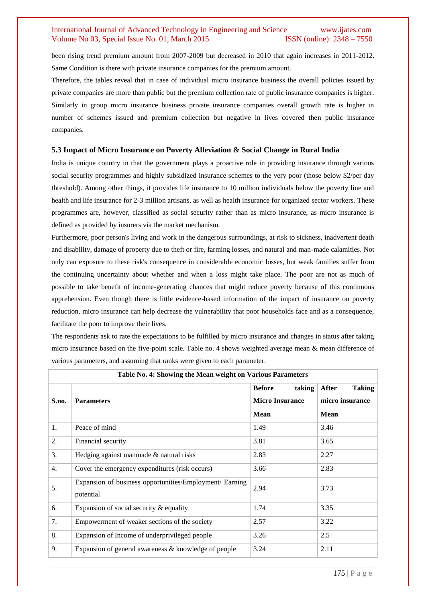been rising trend premium amount from 2007-2009 but decreased in 2010 that again increases in 2011-2012. Same Condition is there with private insurance companies for the premium amount.

Therefore, the tables reveal that in case of individual micro insurance business the overall policies issued by private companies are more than public but the premium collection rate of public insurance companies is higher. Similarly in group micro insurance business private insurance companies overall growth rate is higher in number of schemes issued and premium collection but negative in lives covered then public insurance companies.

#### **5.3 Impact of Micro Insurance on Poverty Alleviation & Social Change in Rural India**

India is unique country in that the government plays a proactive role in providing insurance through various social security programmes and highly subsidized insurance schemes to the very poor (those below \$2/per day threshold). Among other things, it provides life insurance to 10 million individuals below the poverty line and health and life insurance for 2-3 million artisans, as well as health insurance for organized sector workers. These programmes are, however, classified as social security rather than as micro insurance, as micro insurance is defined as provided by insurers via the market mechanism.

Furthermore, poor person's living and work in the dangerous surroundings, at risk to sickness, inadvertent death and disability, damage of property due to theft or fire, farming losses, and natural and man-made calamities. Not only can exposure to these risk's consequence in considerable economic losses, but weak families suffer from the continuing uncertainty about whether and when a loss might take place. The poor are not as much of possible to take benefit of income-generating chances that might reduce poverty because of this continuous apprehension. Even though there is little evidence-based information of the impact of insurance on poverty reduction, micro insurance can help decrease the vulnerability that poor households face and as a consequence, facilitate the poor to improve their lives.

The respondents ask to rate the expectations to be fulfilled by micro insurance and changes in status after taking micro insurance based on the five-point scale. Table no. 4 shows weighted average mean & mean difference of various parameters, and assuming that ranks were given to each parameter.

|       | Table No. 4: Showing the Mean weight on Various Parameters           |                                                   |                                           |  |  |
|-------|----------------------------------------------------------------------|---------------------------------------------------|-------------------------------------------|--|--|
| S.no. | <b>Parameters</b>                                                    | <b>Before</b><br>taking<br><b>Micro Insurance</b> | After<br><b>Taking</b><br>micro insurance |  |  |
|       |                                                                      | <b>Mean</b>                                       | <b>Mean</b>                               |  |  |
| 1.    | Peace of mind                                                        | 1.49                                              | 3.46                                      |  |  |
| 2.    | Financial security                                                   | 3.81                                              | 3.65                                      |  |  |
| 3.    | Hedging against manmade & natural risks                              | 2.83                                              | 2.27                                      |  |  |
| 4.    | Cover the emergency expenditures (risk occurs)                       | 3.66                                              | 2.83                                      |  |  |
| 5.    | Expansion of business opportunities/Employment/ Earning<br>potential | 2.94                                              | 3.73                                      |  |  |
| 6.    | Expansion of social security $\&$ equality                           | 1.74                                              | 3.35                                      |  |  |
| 7.    | Empowerment of weaker sections of the society                        | 2.57                                              | 3.22                                      |  |  |
| 8.    | Expansion of Income of underprivileged people                        | 3.26                                              | 2.5                                       |  |  |
| 9.    | Expansion of general awareness & knowledge of people                 | 3.24                                              | 2.11                                      |  |  |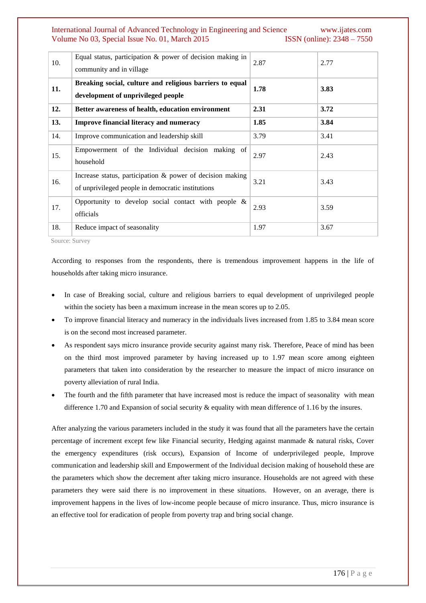| 10. | Equal status, participation $\&$ power of decision making in<br>community and in village                          | 2.87 | 2.77 |
|-----|-------------------------------------------------------------------------------------------------------------------|------|------|
| 11. | Breaking social, culture and religious barriers to equal<br>development of unprivileged people                    | 1.78 | 3.83 |
| 12. | Better awareness of health, education environment                                                                 | 2.31 | 3.72 |
| 13. | <b>Improve financial literacy and numeracy</b>                                                                    | 1.85 | 3.84 |
| 14. | Improve communication and leadership skill                                                                        | 3.79 | 3.41 |
| 15. | Empowerment of the Individual decision making of<br>household                                                     | 2.97 | 2.43 |
| 16. | Increase status, participation $\&$ power of decision making<br>of unprivileged people in democratic institutions | 3.21 | 3.43 |
| 17. | Opportunity to develop social contact with people $\&$<br>officials                                               | 2.93 | 3.59 |
| 18. | Reduce impact of seasonality                                                                                      | 1.97 | 3.67 |

Source: Survey

According to responses from the respondents, there is tremendous improvement happens in the life of households after taking micro insurance.

- In case of Breaking social, culture and religious barriers to equal development of unprivileged people within the society has been a maximum increase in the mean scores up to 2.05.
- To improve financial literacy and numeracy in the individuals lives increased from 1.85 to 3.84 mean score is on the second most increased parameter.
- As respondent says micro insurance provide security against many risk. Therefore, Peace of mind has been on the third most improved parameter by having increased up to 1.97 mean score among eighteen parameters that taken into consideration by the researcher to measure the impact of micro insurance on poverty alleviation of rural India.
- The fourth and the fifth parameter that have increased most is reduce the impact of seasonality with mean difference 1.70 and Expansion of social security & equality with mean difference of 1.16 by the insures.

After analyzing the various parameters included in the study it was found that all the parameters have the certain percentage of increment except few like Financial security, Hedging against manmade & natural risks, Cover the emergency expenditures (risk occurs), Expansion of Income of underprivileged people, Improve communication and leadership skill and Empowerment of the Individual decision making of household these are the parameters which show the decrement after taking micro insurance. Households are not agreed with these parameters they were said there is no improvement in these situations. However, on an average, there is improvement happens in the lives of low-income people because of micro insurance. Thus, micro insurance is an effective tool for eradication of people from poverty trap and bring social change.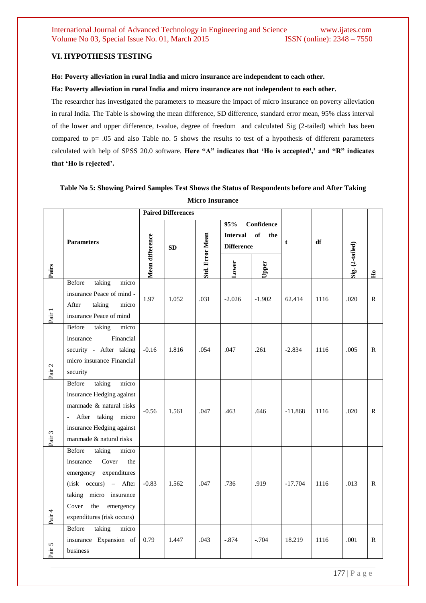# **VI. HYPOTHESIS TESTING**

#### **Ho: Poverty alleviation in rural India and micro insurance are independent to each other.**

#### **Ha: Poverty alleviation in rural India and micro insurance are not independent to each other.**

The researcher has investigated the parameters to measure the impact of micro insurance on poverty alleviation in rural India. The Table is showing the mean difference, SD difference, standard error mean, 95% class interval of the lower and upper difference, t-value, degree of freedom and calculated Sig (2-tailed) which has been compared to p= .05 and also Table no. 5 shows the results to test of a hypothesis of different parameters calculated with help of SPSS 20.0 software. **Here "A" indicates that "Ho is accepted'," and "R" indicates that "Ho is rejected".**

# **Table No 5: Showing Paired Samples Test Shows the Status of Respondents before and After Taking Micro Insurance**

|                   |                                  | <b>Paired Differences</b> |       |                        |                        |                         |             |      |                 |              |
|-------------------|----------------------------------|---------------------------|-------|------------------------|------------------------|-------------------------|-------------|------|-----------------|--------------|
|                   |                                  |                           |       |                        | 95%<br><b>Interval</b> | Confidence<br>of<br>the |             |      |                 |              |
|                   | <b>Parameters</b>                |                           | SD    |                        | <b>Difference</b>      |                         | $\mathbf t$ | df   |                 |              |
| Pairs             |                                  | Mean difference           |       | <b>Std. Error Mean</b> | Lower                  | Upper                   |             |      | Sig. (2-tailed) | $\mathbf{H}$ |
|                   | taking<br>Before<br>micro        |                           |       |                        |                        |                         |             |      |                 |              |
|                   | insurance Peace of mind -        | 1.97                      | 1.052 | .031                   | $-2.026$               | $-1.902$                | 62.414      | 1116 | .020            | R            |
| Pair 1            | taking<br>After<br>micro         |                           |       |                        |                        |                         |             |      |                 |              |
|                   | insurance Peace of mind          |                           |       |                        |                        |                         |             |      |                 |              |
|                   | Before<br>taking<br>micro        |                           |       |                        |                        |                         |             |      |                 |              |
|                   | Financial<br>insurance           |                           |       |                        |                        |                         |             |      |                 |              |
|                   | security - After taking          | $-0.16$                   | 1.816 | .054                   | .047                   | .261                    | $-2.834$    | 1116 | .005            | R            |
| Pair <sub>2</sub> | micro insurance Financial        |                           |       |                        |                        |                         |             |      |                 |              |
|                   | security                         |                           |       |                        |                        |                         |             |      |                 |              |
|                   | taking<br>Before<br>micro        |                           |       |                        |                        |                         |             |      |                 |              |
|                   | insurance Hedging against        | $-0.56$                   |       |                        |                        |                         |             |      |                 | R            |
|                   | manmade & natural risks          |                           | 1.561 | .047                   | .463                   | .646                    | $-11.868$   | 1116 | .020            |              |
|                   | - After taking micro             |                           |       |                        |                        |                         |             |      |                 |              |
|                   | insurance Hedging against        |                           |       |                        |                        |                         |             |      |                 |              |
| Pair <sub>3</sub> | manmade & natural risks          |                           |       |                        |                        |                         |             |      |                 |              |
|                   | taking<br>Before<br>micro        |                           |       |                        |                        |                         |             |      |                 |              |
|                   | Cover<br>insurance<br>the        |                           |       |                        |                        |                         |             |      |                 |              |
|                   | emergency expenditures           |                           |       |                        |                        |                         |             |      |                 |              |
|                   | (risk occurs) - After            | $-0.83$                   | 1.562 | .047                   | .736                   | .919                    | $-17.704$   | 1116 | .013            | R            |
|                   | taking micro insurance           |                           |       |                        |                        |                         |             |      |                 |              |
|                   | Cover<br>the<br>emergency        |                           |       |                        |                        |                         |             |      |                 |              |
| Pair 4            | expenditures (risk occurs)       |                           |       |                        |                        |                         |             |      |                 |              |
|                   | <b>Before</b><br>taking<br>micro |                           |       |                        |                        |                         |             |      |                 |              |
|                   | insurance Expansion of           | 0.79                      | 1.447 | .043                   | $-.874$                | $-.704$                 | 18.219      | 1116 | .001            | R            |
| Pair 5            | business                         |                           |       |                        |                        |                         |             |      |                 |              |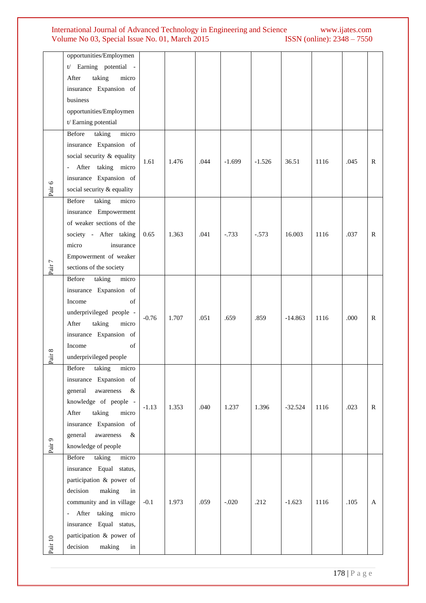|         | opportunities/Employmen      |         |       |      |          |          |           |      |      |              |
|---------|------------------------------|---------|-------|------|----------|----------|-----------|------|------|--------------|
|         | t/ Earning potential -       |         |       |      |          |          |           |      |      |              |
|         | taking<br>micro<br>After     |         |       |      |          |          |           |      |      |              |
|         |                              |         |       |      |          |          |           |      |      |              |
|         | insurance Expansion of       |         |       |      |          |          |           |      |      |              |
|         | business                     |         |       |      |          |          |           |      |      |              |
|         | opportunities/Employmen      |         |       |      |          |          |           |      |      |              |
|         | t/ Earning potential         |         |       |      |          |          |           |      |      |              |
|         | taking<br>micro<br>Before    |         |       |      |          |          |           |      |      |              |
|         | insurance Expansion of       |         |       |      |          |          |           |      |      |              |
|         | social security & equality   |         |       | .044 |          |          |           |      |      |              |
|         | - After taking micro         | 1.61    | 1.476 |      | $-1.699$ | $-1.526$ | 36.51     | 1116 | .045 | $\mathbf{R}$ |
|         | insurance Expansion of       |         |       |      |          |          |           |      |      |              |
| Pair 6  | social security & equality   |         |       |      |          |          |           |      |      |              |
|         | taking<br>Before<br>micro    |         |       |      |          |          |           |      |      |              |
|         | insurance Empowerment        |         |       |      |          |          |           |      |      |              |
|         | of weaker sections of the    |         |       |      |          |          |           |      |      |              |
|         |                              | 0.65    | 1.363 | .041 | $-.733$  | $-.573$  | 16.003    | 1116 | .037 | $\mathbb{R}$ |
|         | society - After taking       |         |       |      |          |          |           |      |      |              |
|         | micro<br>insurance           |         |       |      |          |          |           |      |      |              |
|         | Empowerment of weaker        |         |       |      |          |          |           |      |      |              |
| Pair 7  | sections of the society      |         |       |      |          |          |           |      |      |              |
|         | Before<br>taking<br>micro    |         |       |      |          |          |           |      |      |              |
|         | insurance Expansion of       |         |       |      |          |          |           |      |      |              |
|         | Income<br>of                 |         |       |      |          |          |           |      |      |              |
|         | underprivileged people -     |         | 1.707 | .051 | .659     | .859     | $-14.863$ | 1116 |      |              |
|         | After<br>taking<br>micro     | $-0.76$ |       |      |          |          |           |      | .000 | $\mathbb{R}$ |
|         | insurance Expansion of       |         |       |      |          |          |           |      |      |              |
|         | Income<br>of                 |         |       |      |          |          |           |      |      |              |
| Pair 8  | underprivileged people       |         |       |      |          |          |           |      |      |              |
|         | Before taking<br>micro       |         |       |      |          |          |           |      |      |              |
|         | insurance Expansion of       |         |       |      |          |          |           |      |      |              |
|         | general<br>awareness<br>$\&$ |         |       |      |          |          |           |      |      |              |
|         |                              |         |       |      |          |          |           |      |      |              |
|         | knowledge of people -        | $-1.13$ | 1.353 | .040 | 1.237    | 1.396    | $-32.524$ | 1116 | .023 | $\mathbb{R}$ |
|         | taking<br>After<br>micro     |         |       |      |          |          |           |      |      |              |
|         | insurance Expansion of       |         |       |      |          |          |           |      |      |              |
|         | general<br>awareness<br>&    |         |       |      |          |          |           |      |      |              |
| Pair 9  | knowledge of people          |         |       |      |          |          |           |      |      |              |
|         | Before<br>taking<br>micro    |         |       |      |          |          |           |      |      |              |
|         | insurance Equal status,      |         |       |      |          |          |           |      |      |              |
|         | participation & power of     |         |       |      |          |          |           |      |      |              |
|         | making<br>decision<br>in     |         |       |      |          |          |           |      |      |              |
|         | community and in village     | $-0.1$  | 1.973 | .059 | $-.020$  | .212     | $-1.623$  | 1116 | .105 | $\mathbf{A}$ |
|         | - After taking micro         |         |       |      |          |          |           |      |      |              |
|         | insurance Equal status,      |         |       |      |          |          |           |      |      |              |
|         | participation & power of     |         |       |      |          |          |           |      |      |              |
| Pair 10 | decision<br>making<br>in     |         |       |      |          |          |           |      |      |              |
|         |                              |         |       |      |          |          |           |      |      |              |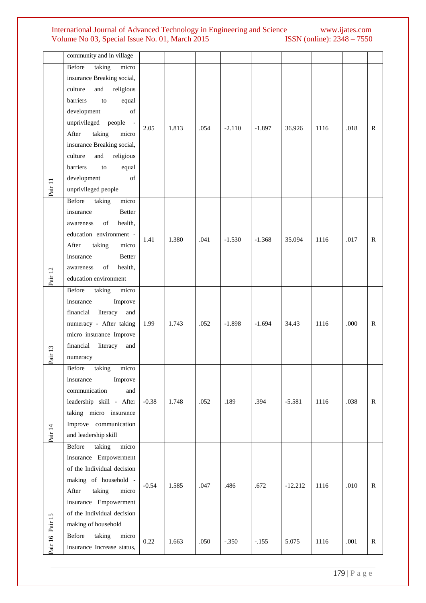|         | community and in village     |         |       |      |          |          |           |      |      |              |
|---------|------------------------------|---------|-------|------|----------|----------|-----------|------|------|--------------|
|         | taking<br>Before<br>micro    |         |       |      |          |          |           |      |      |              |
|         | insurance Breaking social,   |         |       |      |          |          |           |      |      |              |
|         | culture<br>and<br>religious  |         |       |      |          |          |           |      |      |              |
|         | barriers<br>to<br>equal      |         |       |      |          |          |           |      |      |              |
|         | development<br>of            |         |       |      |          |          |           |      |      |              |
|         | unprivileged people -        |         |       |      |          |          |           |      |      |              |
|         | taking<br>After<br>micro     | 2.05    | 1.813 | .054 | $-2.110$ | $-1.897$ | 36.926    | 1116 | .018 | $\mathbb{R}$ |
|         | insurance Breaking social,   |         |       |      |          |          |           |      |      |              |
|         | culture<br>and<br>religious  |         |       |      |          |          |           |      |      |              |
|         | equal<br>barriers<br>to      |         |       |      |          |          |           |      |      |              |
|         | development<br>of            |         |       |      |          |          |           |      |      |              |
| Pair 11 |                              |         |       |      |          |          |           |      |      |              |
|         | unprivileged people          |         |       |      |          |          |           |      |      |              |
|         | Before<br>taking<br>micro    |         |       |      |          |          |           |      |      |              |
|         | Better<br>insurance          |         |       |      |          |          |           |      |      |              |
|         | of<br>health,<br>awareness   |         |       |      |          |          |           |      |      |              |
|         | education environment -      | 1.41    | 1.380 | .041 | $-1.530$ | $-1.368$ | 35.094    | 1116 | .017 | $\mathbb{R}$ |
|         | taking<br>After<br>micro     |         |       |      |          |          |           |      |      |              |
|         | insurance<br><b>Better</b>   |         |       |      |          |          |           |      |      |              |
|         | of<br>health,<br>awareness   |         |       |      |          |          |           |      |      |              |
| Pair 12 | education environment        |         |       |      |          |          |           |      |      |              |
|         | Before<br>taking<br>micro    |         |       |      |          |          |           |      |      |              |
|         | insurance<br>Improve         |         |       |      |          |          |           |      |      |              |
|         | literacy<br>financial<br>and |         |       |      |          |          |           |      |      |              |
|         | numeracy - After taking      | 1.99    | 1.743 | .052 | $-1.898$ | $-1.694$ | 34.43     | 1116 | .000 | $\mathbb{R}$ |
|         | micro insurance Improve      |         |       |      |          |          |           |      |      |              |
|         | financial<br>literacy<br>and |         |       |      |          |          |           |      |      |              |
| Pair 13 | numeracy                     |         |       |      |          |          |           |      |      |              |
|         | taking<br>Before<br>micro    |         |       |      |          |          |           |      |      |              |
|         | Improve<br>insurance         |         |       |      |          |          |           |      |      |              |
|         | communication<br>and         |         |       |      |          |          |           |      |      |              |
|         | leadership skill - After     | $-0.38$ | 1.748 | .052 | .189     | .394     | $-5.581$  | 1116 | .038 | $\mathbb{R}$ |
|         | taking micro insurance       |         |       |      |          |          |           |      |      |              |
|         | Improve communication        |         |       |      |          |          |           |      |      |              |
| Pair 14 | and leadership skill         |         |       |      |          |          |           |      |      |              |
|         | taking<br>micro<br>Before    |         |       |      |          |          |           |      |      |              |
|         | insurance Empowerment        |         |       |      |          |          |           |      |      |              |
|         | of the Individual decision   |         |       |      |          |          |           |      |      |              |
|         | making of household -        |         |       |      |          |          |           |      |      |              |
|         | taking<br>After<br>micro     | $-0.54$ | 1.585 | .047 | .486     | .672     | $-12.212$ | 1116 | .010 | $\mathbb{R}$ |
|         | insurance Empowerment        |         |       |      |          |          |           |      |      |              |
|         | of the Individual decision   |         |       |      |          |          |           |      |      |              |
| Pair 15 | making of household          |         |       |      |          |          |           |      |      |              |
|         | taking<br>Before<br>micro    |         |       |      |          |          |           |      |      |              |
| Pair 16 |                              | 0.22    | 1.663 | .050 | $-.350$  | $-.155$  | 5.075     | 1116 | .001 | ${\bf R}$    |
|         | insurance Increase status,   |         |       |      |          |          |           |      |      |              |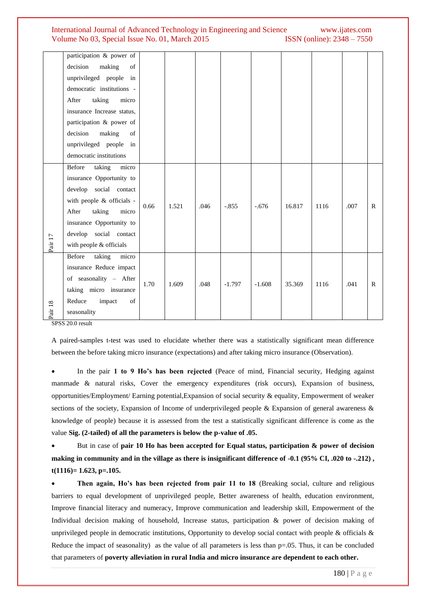|                    | participation & power of   |      |       |      |          |          |        |      |      |              |
|--------------------|----------------------------|------|-------|------|----------|----------|--------|------|------|--------------|
|                    | making<br>decision<br>of   |      |       |      |          |          |        |      |      |              |
|                    | unprivileged people<br>in  |      |       |      |          |          |        |      |      |              |
|                    | democratic institutions -  |      |       |      |          |          |        |      |      |              |
|                    | taking<br>After<br>micro   |      |       |      |          |          |        |      |      |              |
|                    | insurance Increase status, |      |       |      |          |          |        |      |      |              |
|                    | participation & power of   |      |       |      |          |          |        |      |      |              |
|                    | decision<br>making<br>of   |      |       |      |          |          |        |      |      |              |
|                    | unprivileged people in     |      |       |      |          |          |        |      |      |              |
|                    | democratic institutions    |      |       |      |          |          |        |      |      |              |
|                    | Before<br>taking<br>micro  |      |       |      |          |          |        |      |      |              |
|                    | insurance Opportunity to   | 0.66 | 1.521 | .046 | $-.855$  | $-.676$  | 16.817 | 1116 | .007 | $\mathbb{R}$ |
|                    | develop social contact     |      |       |      |          |          |        |      |      |              |
|                    | with people & officials -  |      |       |      |          |          |        |      |      |              |
|                    | taking<br>After<br>micro   |      |       |      |          |          |        |      |      |              |
|                    | insurance Opportunity to   |      |       |      |          |          |        |      |      |              |
|                    | develop social contact     |      |       |      |          |          |        |      |      |              |
| Pair 17            | with people & officials    |      |       |      |          |          |        |      |      |              |
|                    | Before<br>taking<br>micro  | 1.70 | 1.609 | .048 | $-1.797$ | $-1.608$ | 35.369 | 1116 | .041 | $\mathsf{R}$ |
|                    | insurance Reduce impact    |      |       |      |          |          |        |      |      |              |
|                    | of seasonality - After     |      |       |      |          |          |        |      |      |              |
|                    | taking micro insurance     |      |       |      |          |          |        |      |      |              |
|                    | Reduce<br>impact<br>of     |      |       |      |          |          |        |      |      |              |
| Pair <sub>18</sub> | seasonality                |      |       |      |          |          |        |      |      |              |

SPSS 20.0 result

A paired-samples t-test was used to elucidate whether there was a statistically significant mean difference between the before taking micro insurance (expectations) and after taking micro insurance (Observation).

 In the pair **1 to 9 Ho"s has been rejected** (Peace of mind, Financial security, Hedging against manmade & natural risks, Cover the emergency expenditures (risk occurs), Expansion of business, opportunities/Employment/ Earning potential,Expansion of social security & equality, Empowerment of weaker sections of the society, Expansion of Income of underprivileged people & Expansion of general awareness & knowledge of people) because it is assessed from the test a statistically significant difference is come as the value **Sig. (2-tailed) of all the parameters is below the p-value of .05.** 

 But in case of **pair 10 Ho has been accepted for Equal status, participation & power of decision**  making in community and in the village as there is insignificant difference of -0.1 (95% CI, .020 to -.212), **t(1116)= 1.623, p=.105.** 

 **Then again, Ho"s has been rejected from pair 11 to 18** (Breaking social, culture and religious barriers to equal development of unprivileged people, Better awareness of health, education environment, Improve financial literacy and numeracy, Improve communication and leadership skill, Empowerment of the Individual decision making of household, Increase status, participation & power of decision making of unprivileged people in democratic institutions, Opportunity to develop social contact with people & officials & Reduce the impact of seasonality) as the value of all parameters is less than  $p=0.05$ . Thus, it can be concluded that parameters of **poverty alleviation in rural India and micro insurance are dependent to each other.**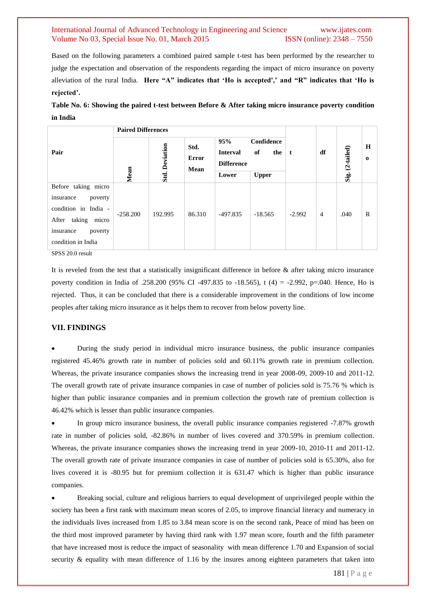Based on the following parameters a combined paired sample t-test has been performed by the researcher to judge the expectation and observation of the respondents regarding the impact of micro insurance on poverty alleviation of the rural India. **Here "A" indicates that "Ho is accepted'," and "R" indicates that "Ho is rejected".**

| Table No. 6: Showing the paired t-test between Before & After taking micro insurance poverty condition |  |  |
|--------------------------------------------------------------------------------------------------------|--|--|
| in India                                                                                               |  |  |

|                                                                                                                                            | <b>Paired Differences</b> |                       |                              |                                                                                                 |           |          |                |              |                   |
|--------------------------------------------------------------------------------------------------------------------------------------------|---------------------------|-----------------------|------------------------------|-------------------------------------------------------------------------------------------------|-----------|----------|----------------|--------------|-------------------|
| Pair                                                                                                                                       | Mean                      | <b>Std. Deviation</b> | Std.<br><b>Error</b><br>Mean | 95%<br>Confidence<br><b>Interval</b><br>of<br>the<br><b>Difference</b><br><b>Upper</b><br>Lower |           | t        | df             | $(2-tailed)$ | H<br>$\mathbf{o}$ |
|                                                                                                                                            |                           |                       |                              |                                                                                                 |           |          |                | Sig.         |                   |
| Before taking micro<br>poverty<br>insurance<br>condition in India -<br>After taking<br>micro<br>poverty<br>insurance<br>condition in India | $-258.200$                | 192.995               | 86.310                       | -497.835                                                                                        | $-18.565$ | $-2.992$ | $\overline{4}$ | .040         | R                 |

SPSS 20.0 result

It is reveled from the test that a statistically insignificant difference in before  $\&$  after taking micro insurance poverty condition in India of .258.200 (95% CI -497.835 to -18.565), t (4) = -2.992, p=.040. Hence, Ho is rejected. Thus, it can be concluded that there is a considerable improvement in the conditions of low income peoples after taking micro insurance as it helps them to recover from below poverty line.

#### **VII. FINDINGS**

 During the study period in individual micro insurance business, the public insurance companies registered 45.46% growth rate in number of policies sold and 60.11% growth rate in premium collection. Whereas, the private insurance companies shows the increasing trend in year 2008-09, 2009-10 and 2011-12. The overall growth rate of private insurance companies in case of number of policies sold is 75.76 % which is higher than public insurance companies and in premium collection the growth rate of premium collection is 46.42% which is lesser than public insurance companies.

 In group micro insurance business, the overall public insurance companies registered -7.87% growth rate in number of policies sold, -82.86% in number of lives covered and 370.59% in premium collection. Whereas, the private insurance companies shows the increasing trend in year 2009-10, 2010-11 and 2011-12. The overall growth rate of private insurance companies in case of number of policies sold is 65.30%, also for lives covered it is -80.95 but for premium collection it is 631.47 which is higher than public insurance companies.

 Breaking social, culture and religious barriers to equal development of unprivileged people within the society has been a first rank with maximum mean scores of 2.05, to improve financial literacy and numeracy in the individuals lives increased from 1.85 to 3.84 mean score is on the second rank, Peace of mind has been on the third most improved parameter by having third rank with 1.97 mean score, fourth and the fifth parameter that have increased most is reduce the impact of seasonality with mean difference 1.70 and Expansion of social security & equality with mean difference of 1.16 by the insures among eighteen parameters that taken into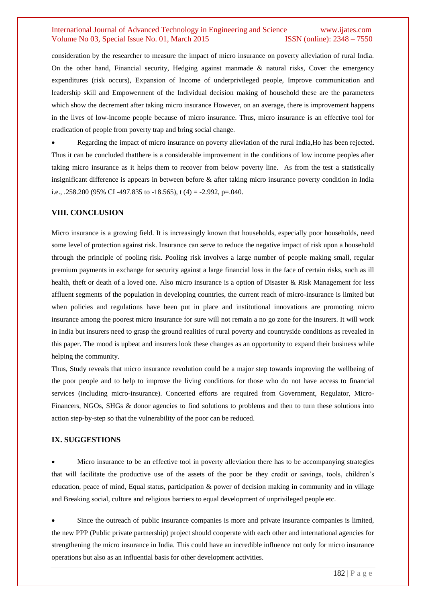consideration by the researcher to measure the impact of micro insurance on poverty alleviation of rural India. On the other hand, Financial security, Hedging against manmade  $\&$  natural risks, Cover the emergency expenditures (risk occurs), Expansion of Income of underprivileged people, Improve communication and leadership skill and Empowerment of the Individual decision making of household these are the parameters which show the decrement after taking micro insurance However, on an average, there is improvement happens in the lives of low-income people because of micro insurance. Thus, micro insurance is an effective tool for eradication of people from poverty trap and bring social change.

 Regarding the impact of micro insurance on poverty alleviation of the rural India,Ho has been rejected. Thus it can be concluded thatthere is a considerable improvement in the conditions of low income peoples after taking micro insurance as it helps them to recover from below poverty line. As from the test a statistically insignificant difference is appears in between before & after taking micro insurance poverty condition in India i.e., .258.200 (95% CI -497.835 to -18.565), t (4) = -2.992, p=.040.

#### **VIII. CONCLUSION**

Micro insurance is a growing field. It is increasingly known that households, especially poor households, need some level of protection against risk. Insurance can serve to reduce the negative impact of risk upon a household through the principle of pooling risk. Pooling risk involves a large number of people making small, regular premium payments in exchange for security against a large financial loss in the face of certain risks, such as ill health, theft or death of a loved one. Also micro insurance is a option of Disaster & Risk Management for less affluent segments of the population in developing countries, the current reach of micro-insurance is limited but when policies and regulations have been put in place and institutional innovations are promoting micro insurance among the poorest micro insurance for sure will not remain a no go zone for the insurers. It will work in India but insurers need to grasp the ground realities of rural poverty and countryside conditions as revealed in this paper. The mood is upbeat and insurers look these changes as an opportunity to expand their business while helping the community.

Thus, Study reveals that micro insurance revolution could be a major step towards improving the wellbeing of the poor people and to help to improve the living conditions for those who do not have access to financial services (including micro-insurance). Concerted efforts are required from Government, Regulator, Micro-Financers, NGOs, SHGs & donor agencies to find solutions to problems and then to turn these solutions into action step-by-step so that the vulnerability of the poor can be reduced.

#### **IX. SUGGESTIONS**

 Micro insurance to be an effective tool in poverty alleviation there has to be accompanying strategies that will facilitate the productive use of the assets of the poor be they credit or savings, tools, children's education, peace of mind, Equal status, participation & power of decision making in community and in village and Breaking social, culture and religious barriers to equal development of unprivileged people etc.

 Since the outreach of public insurance companies is more and private insurance companies is limited, the new PPP (Public private partnership) project should cooperate with each other and international agencies for strengthening the micro insurance in India. This could have an incredible influence not only for micro insurance operations but also as an influential basis for other development activities.